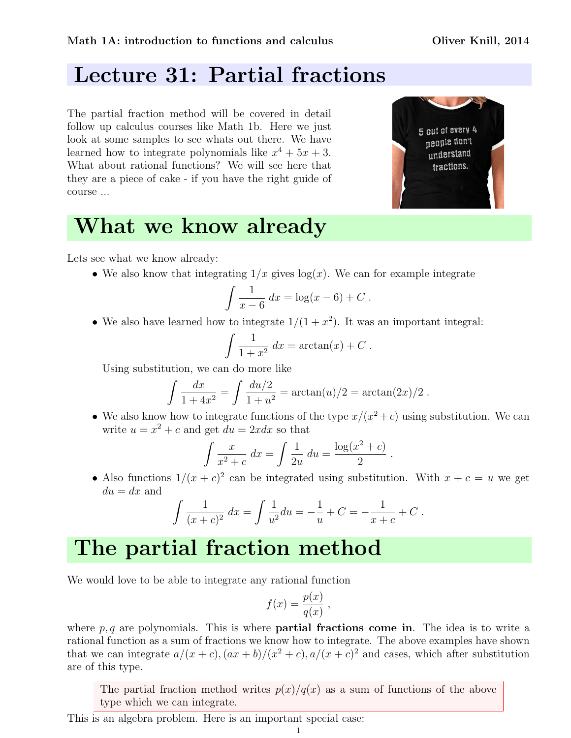### Lecture 31: Partial fractions

The partial fraction method will be covered in detail follow up calculus courses like Math 1b. Here we just look at some samples to see whats out there. We have learned how to integrate polynomials like  $x^4 + 5x + 3$ . What about rational functions? We will see here that they are a piece of cake - if you have the right guide of course ...



## What we know already

Lets see what we know already:

• We also know that integrating  $1/x$  gives  $\log(x)$ . We can for example integrate

$$
\int \frac{1}{x-6} \, dx = \log(x-6) + C \; .
$$

• We also have learned how to integrate  $1/(1+x^2)$ . It was an important integral:

$$
\int \frac{1}{1+x^2} dx = \arctan(x) + C.
$$

Using substitution, we can do more like

$$
\int \frac{dx}{1+4x^2} = \int \frac{du/2}{1+u^2} = \arctan(u)/2 = \arctan(2x)/2.
$$

• We also know how to integrate functions of the type  $x/(x^2+c)$  using substitution. We can write  $u = x^2 + c$  and get  $du = 2xdx$  so that

$$
\int \frac{x}{x^2 + c} dx = \int \frac{1}{2u} du = \frac{\log(x^2 + c)}{2}.
$$

• Also functions  $1/(x+c)^2$  can be integrated using substitution. With  $x+c=u$  we get  $du = dx$  and

$$
\int \frac{1}{(x+c)^2} dx = \int \frac{1}{u^2} du = -\frac{1}{u} + C = -\frac{1}{x+c} + C.
$$

## The partial fraction method

We would love to be able to integrate any rational function

$$
f(x) = \frac{p(x)}{q(x)},
$$

where  $p, q$  are polynomials. This is where **partial fractions come in**. The idea is to write a rational function as a sum of fractions we know how to integrate. The above examples have shown that we can integrate  $a/(x+c)$ ,  $(ax+b)/(x^2+c)$ ,  $a/(x+c)^2$  and cases, which after substitution are of this type.

The partial fraction method writes  $p(x)/q(x)$  as a sum of functions of the above type which we can integrate.

This is an algebra problem. Here is an important special case: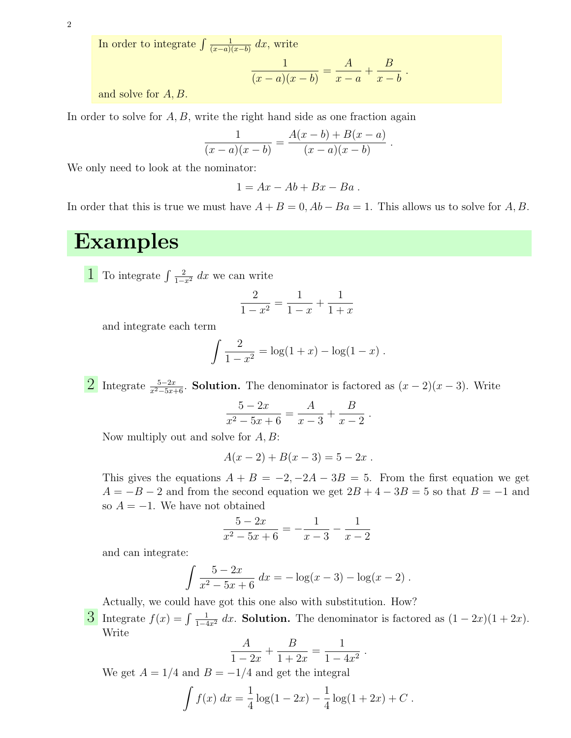2

In order to integrate  $\int \frac{1}{(x-a)^2}$  $\frac{1}{(x-a)(x-b)} dx$ , write

$$
\frac{1}{(x-a)(x-b)} = \frac{A}{x-a} + \frac{B}{x-b} .
$$

and solve for A, B.

In order to solve for  $A, B$ , write the right hand side as one fraction again

$$
\frac{1}{(x-a)(x-b)} = \frac{A(x-b) + B(x-a)}{(x-a)(x-b)}.
$$

We only need to look at the nominator:

$$
1 = Ax - Ab + Bx - Ba.
$$

In order that this is true we must have  $A + B = 0$ ,  $Ab - Ba = 1$ . This allows us to solve for A, B.

#### Examples

1 To integrate  $\int \frac{2}{1-x^2} dx$  we can write

$$
\frac{2}{1-x^2} = \frac{1}{1-x} + \frac{1}{1+x}
$$

and integrate each term

$$
\int \frac{2}{1-x^2} = \log(1+x) - \log(1-x) .
$$

2 Integrate  $\frac{5-2x}{x^2-5x+6}$ . Solution. The denominator is factored as  $(x-2)(x-3)$ . Write

$$
\frac{5-2x}{x^2-5x+6} = \frac{A}{x-3} + \frac{B}{x-2} .
$$

Now multiply out and solve for  $A, B$ :

$$
A(x-2) + B(x-3) = 5 - 2x.
$$

This gives the equations  $A + B = -2, -2A - 3B = 5$ . From the first equation we get  $A = -B - 2$  and from the second equation we get  $2B + 4 - 3B = 5$  so that  $B = -1$  and so  $A = -1$ . We have not obtained

$$
\frac{5-2x}{x^2-5x+6} = -\frac{1}{x-3} - \frac{1}{x-2}
$$

and can integrate:

$$
\int \frac{5-2x}{x^2-5x+6} dx = -\log(x-3) - \log(x-2) .
$$

Actually, we could have got this one also with substitution. How?

3 Integrate  $f(x) = \int \frac{1}{1-4x^2} dx$ . Solution. The denominator is factored as  $(1-2x)(1+2x)$ . Write

$$
\frac{A}{1-2x} + \frac{B}{1+2x} = \frac{1}{1-4x^2} .
$$

We get  $A = 1/4$  and  $B = -1/4$  and get the integral

$$
\int f(x) dx = \frac{1}{4} \log(1 - 2x) - \frac{1}{4} \log(1 + 2x) + C.
$$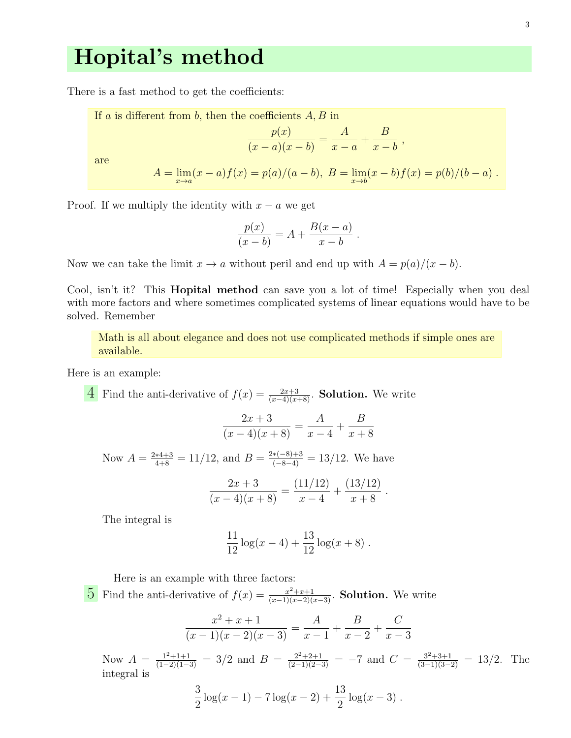#### Hopital's method

There is a fast method to get the coefficients:

If *a* is different from *b*, then the coefficients *A*, *B* in\n
$$
\frac{p(x)}{(x-a)(x-b)} = \frac{A}{x-a} + \frac{B}{x-b},
$$
\nare\n
$$
A = \lim_{x \to a} (x-a)f(x) = p(a)/(a-b), \ B = \lim_{x \to b} (x-b)f(x) = p(b)/(b-a).
$$

Proof. If we multiply the identity with  $x - a$  we get

$$
\frac{p(x)}{(x-b)} = A + \frac{B(x-a)}{x-b}.
$$

Now we can take the limit  $x \to a$  without peril and end up with  $A = p(a)/(x - b)$ .

Cool, isn't it? This **Hopital method** can save you a lot of time! Especially when you deal with more factors and where sometimes complicated systems of linear equations would have to be solved. Remember

Math is all about elegance and does not use complicated methods if simple ones are available.

Here is an example:

4 Find the anti-derivative of  $f(x) = \frac{2x+3}{(x-4)(x+8)}$ . **Solution.** We write

$$
\frac{2x+3}{(x-4)(x+8)} = \frac{A}{x-4} + \frac{B}{x+8}
$$

Now  $A = \frac{2*4+3}{4+8} = 11/12$ , and  $B = \frac{2*(-8)+3}{(-8-4)} = 13/12$ . We have

$$
\frac{2x+3}{(x-4)(x+8)} = \frac{(11/12)}{x-4} + \frac{(13/12)}{x+8}.
$$

The integral is

$$
\frac{11}{12}\log(x-4) + \frac{13}{12}\log(x+8) .
$$

Here is an example with three factors: 5 Find the anti-derivative of  $f(x) = \frac{x^2+x+1}{(x-1)(x-2)(x-3)}$ . Solution. We write

$$
\frac{x^2 + x + 1}{(x - 1)(x - 2)(x - 3)} = \frac{A}{x - 1} + \frac{B}{x - 2} + \frac{C}{x - 3}
$$

Now  $A = \frac{1^2+1+1}{(1-2)(1-3)} = 3/2$  and  $B = \frac{2^2+2+1}{(2-1)(2-3)} = -7$  and  $C = \frac{3^2+3+1}{(3-1)(3-2)} = 13/2$ . The integral is

$$
\frac{3}{2}\log(x-1) - 7\log(x-2) + \frac{13}{2}\log(x-3).
$$